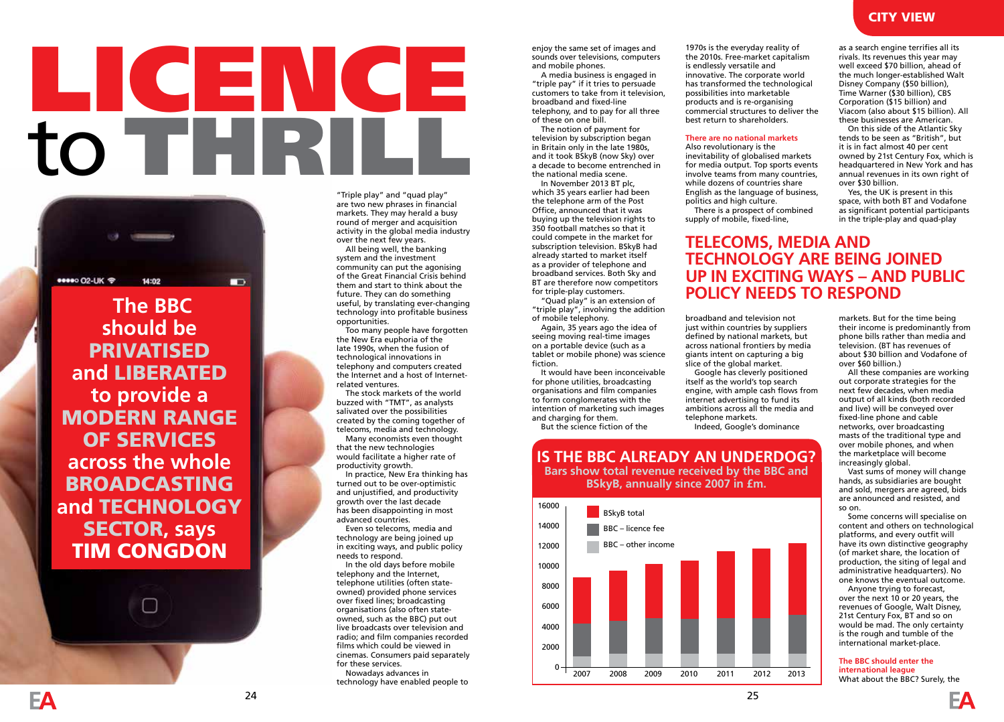# LICENCE to THRILL



 **The BBC should be**  PRIVATISED **and** LIBERATED **to provide a**  MODERN RANGE OF SERVICES **across the whole**  BROADCASTING **and** TECHNOLOGY SECTOR**, says**  TIM CONGDON

"Triple play" and "quad play" are two new phrases in financial markets. They may herald a busy round of merger and acquisition activity in the global media industry

over the next few years. All being well, the banking system and the investment community can put the agonising of the Great Financial Crisis behind them and start to think about the future. They can do something useful, by translating ever-changing technology into profitable business opportunities.

...<br>Too many people have forgotten the New Era euphoria of the late 1990s, when the fusion of technological innovations in telephony and computers created the Internet and a host of Internetrelated ventures.

The stock markets of the world buzzed with "TMT", as analysts salivated over the possibilities created by the coming together of telecoms, media and technology. Many economists even thought

that the new technologies would facilitate a higher rate of productivity growth.

In practice, New Era thinking has turned out to be over-optimistic and unjustified, and productivity growth over the last decade has been disappointing in most advanced countries.

Even so telecoms, media and technology are being joined up in exciting ways, and public policy needs to respond.

In the old days before mobile telephony and the Internet, telephone utilities (often stateowned) provided phone services over fixed lines; broadcasting organisations (also often stateowned, such as the BBC) put out live broadcasts over television and radio; and film companies recorded films which could be viewed in cinemas. Consumers paid separately for these services. Nowadays advances in technology have enabled people to

enjoy the same set of images and sounds over televisions, computers and mobile phones.

A media business is engaged in "triple pay" if it tries to persuade customers to take from it television, broadband and fixed-line telephony, and to pay for all three of these on one bill.

The notion of payment for television by subscription began in Britain only in the late 1980s, and it took BSkyB (now Sky) over a decade to become entrenched in the national media scene.

In November 2013 BT plc, which 35 years earlier had been the telephone arm of the Post Office, announced that it was buying up the television rights to 350 football matches so that it could compete in the market for subscription television. BSkyB had already started to market itself as a provider of telephone and broadband services. Both Sky and BT are therefore now competitors for triple-play customers.

"Quad play" is an extension of "triple play", involving the addition of mobile telephony.

Again, 35 years ago the idea of seeing moving real-time images on a portable device (such as a tablet or mobile phone) was science fiction.

It would have been inconceivable for phone utilities, broadcasting organisations and film companies to form conglomerates with the intention of marketing such images and charging for them.

> BSkyB total BBC – licence fee BBC – other income

**IS THE BBC ALREADY AN UNDERDOG? Bars show total revenue received by the BBC and BSkyB, annually since 2007 in £m.**

2007 2008 2009 2010 2011 2012 2013

But the science fiction of the

 $0 -$ 

1970s is the everyday reality of the 2010s. Free-market capitalism is endlessly versatile and innovative. The corporate world has transformed the technological possibilities into marketable products and is re-organising commercial structures to deliver the best return to shareholders.

#### **There are no national markets**

Also revolutionary is the inevitability of globalised markets for media output. Top sports events involve teams from many countries, while dozens of countries share English as the language of business, politics and high culture.

There is a prospect of combined supply of mobile, fixed-line,

as a search engine terrifies all its rivals. Its revenues this year may well exceed \$70 billion, ahead of the much longer-established Walt Disney Company (\$50 billion), Time Warner (\$30 billion), CBS Corporation (\$15 billion) and Viacom (also about \$15 billion). All these businesses are American.

On this side of the Atlantic Sky tends to be seen as "British", but it is in fact almost 40 per cent owned by 21st Century Fox, which is headquartered in New York and has annual revenues in its own right of over \$30 billion.

Yes, the UK is present in this space, with both BT and Vodafone as significant potential participants in the triple-play and quad-play

### **TELECOMS, MEDIA AND TECHNOLOGY ARE BEING JOINED UP IN EXCITING WAYS – AND PUBLIC POLICY NEEDS TO RESPOND**

broadband and television not just within countries by suppliers defined by national markets, but across national frontiers by media giants intent on capturing a big slice of the global market. Google has cleverly positioned

itself as the world's top search engine, with ample cash flows from internet advertising to fund its ambitions across all the media and telephone markets. Indeed, Google's dominance

markets. But for the time being their income is predominantly from phone bills rather than media and television. (BT has revenues of about \$30 billion and Vodafone of over \$60 billion.)

All these companies are working out corporate strategies for the next few decades, when media output of all kinds (both recorded and live) will be conveyed over fixed-line phone and cable networks, over broadcasting masts of the traditional type and over mobile phones, and when the marketplace will become increasingly global.

Vast sums of money will change hands, as subsidiaries are bought and sold, mergers are agreed, bids are announced and resisted, and so on.

Some concerns will specialise on content and others on technological platforms, and every outfit will have its own distinctive geography (of market share, the location of production, the siting of legal and administrative headquarters). No one knows the eventual outcome.

Anyone trying to forecast, over the next 10 or 20 years, the revenues of Google, Walt Disney, 21st Century Fox, BT and so on would be mad. The only certainty is the rough and tumble of the international market-place.

#### **The BBC should enter the international league**

What about the BBC? Surely, the

## CITY VIEW